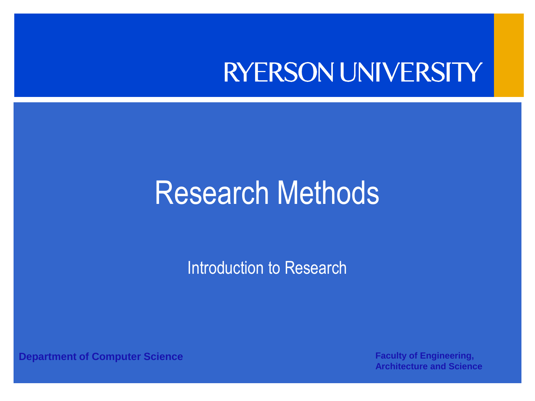#### **RYERSON UNIVERSITY**

#### Research Methods

Introduction to Research

**Department of Computer Science <b>Faculty of Engineering, Faculty of Engineering,**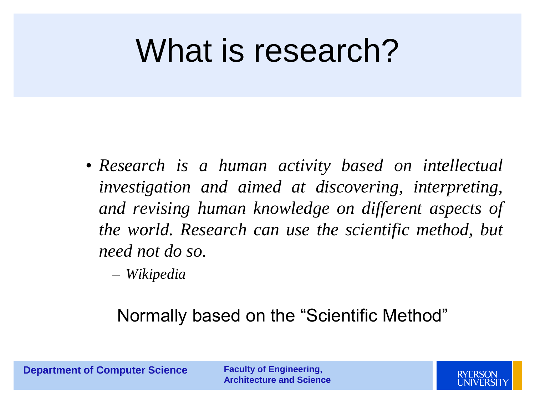#### What is research?

- *Research is a human activity based on intellectual investigation and aimed at discovering, interpreting, and revising human knowledge on different aspects of the world. Research can use the scientific method, but need not do so.*
	- *Wikipedia*

#### Normally based on the "Scientific Method"

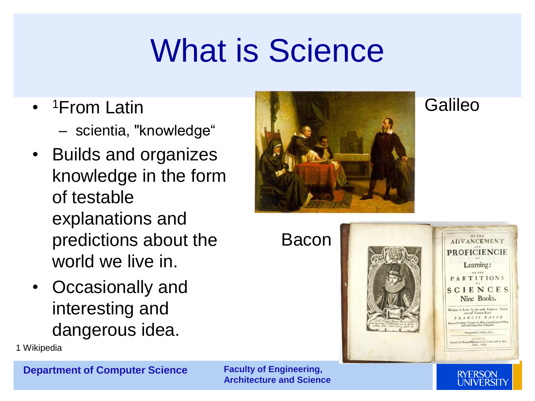#### What is Science

- <sup>1</sup>From Latin
	- scientia, "knowledge"
- Builds and organizes knowledge in the form of testable explanations and predictions about the world we live in.
- Occasionally and interesting and dangerous idea.

1 Wikipedia

**Department of Computer Science Faculty of Engineering,** 

**Architecture and Science** 



Bacon



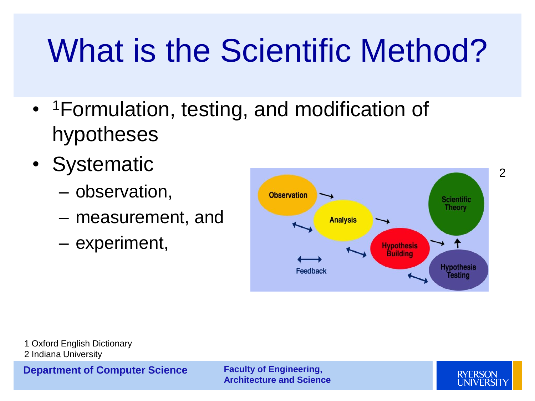### What is the Scientific Method?

- <sup>1</sup> Formulation, testing, and modification of hypotheses
- Systematic
	- observation,
	- measurement, and
	- experiment,



1 Oxford English Dictionary 2 Indiana University

**Department of Computer Science Faculty of Engineering,** 

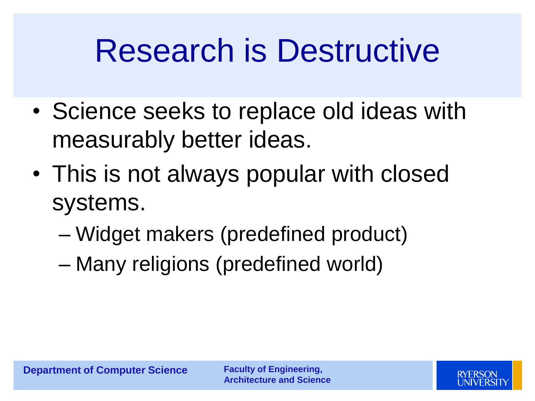#### Research is Destructive

- Science seeks to replace old ideas with measurably better ideas.
- This is not always popular with closed systems.
	- Widget makers (predefined product)
	- Many religions (predefined world)

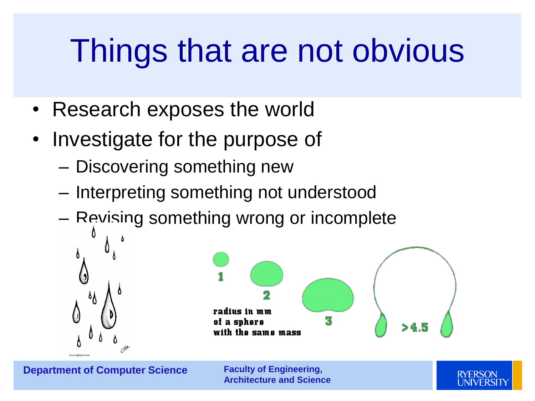#### Things that are not obvious

- Research exposes the world
- Investigate for the purpose of
	- Discovering something new
	- Interpreting something not understood
	- Revising something wrong or incomplete



**Department of Computer Science Faculty of Engineering,** 

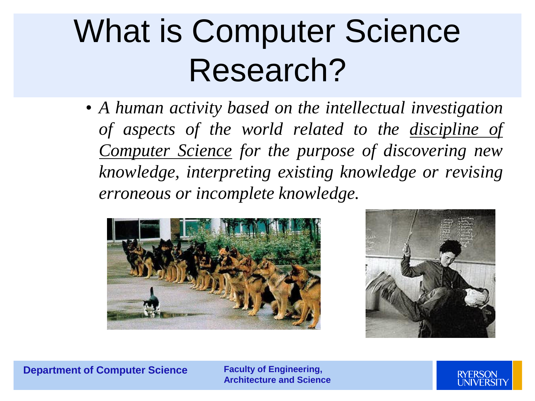#### What is Computer Science Research?

• *A human activity based on the intellectual investigation of aspects of the world related to the discipline of Computer Science for the purpose of discovering new knowledge, interpreting existing knowledge or revising erroneous or incomplete knowledge.*





**Department of Computer Science Faculty of Engineering,** 

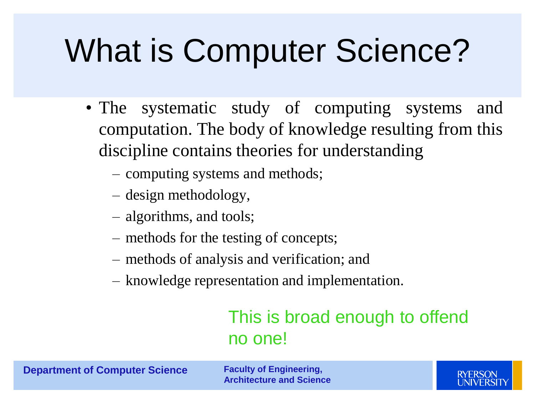## What is Computer Science?

- The systematic study of computing systems and computation. The body of knowledge resulting from this discipline contains theories for understanding
	- computing systems and methods;
	- design methodology,
	- algorithms, and tools;
	- methods for the testing of concepts;
	- methods of analysis and verification; and
	- knowledge representation and implementation.

#### This is broad enough to offend no one!

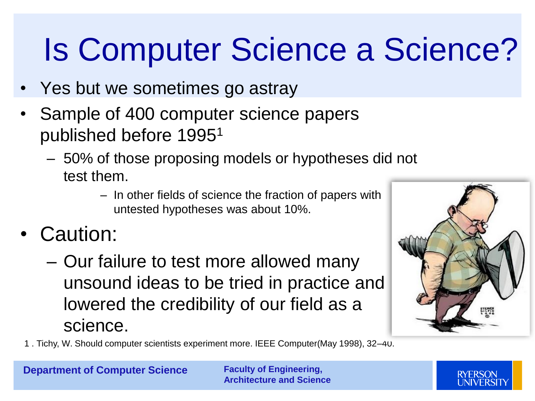### Is Computer Science a Science?

- Yes but we sometimes go astray
- Sample of 400 computer science papers published before 1995<sup>1</sup>
	- 50% of those proposing models or hypotheses did not test them.
		- In other fields of science the fraction of papers with untested hypotheses was about 10%.
- Caution:
	- Our failure to test more allowed many unsound ideas to be tried in practice and lowered the credibility of our field as a science.



1 . Tichy, W. Should computer scientists experiment more. IEEE Computer(May 1998), 32–40.

**Department of Computer Science Faculty of Engineering,** 

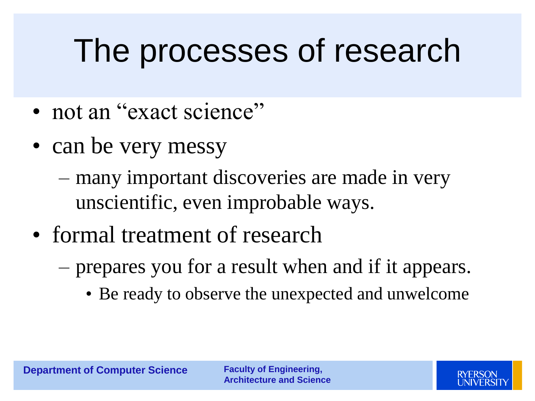#### The processes of research

- not an "exact science"
- can be very messy
	- many important discoveries are made in very unscientific, even improbable ways.
- formal treatment of research
	- prepares you for a result when and if it appears.
		- Be ready to observe the unexpected and unwelcome

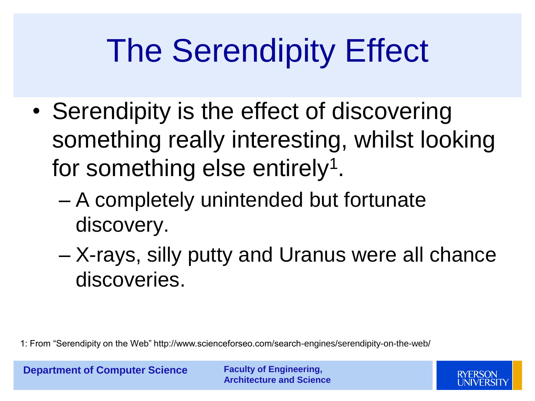## The Serendipity Effect

- Serendipity is the effect of discovering something really interesting, whilst looking for something else entirely<sup>1</sup>.
	- A completely unintended but fortunate discovery.
	- X-rays, silly putty and Uranus were all chance discoveries.

1: From "Serendipity on the Web" http://www.scienceforseo.com/search-engines/serendipity-on-the-web/

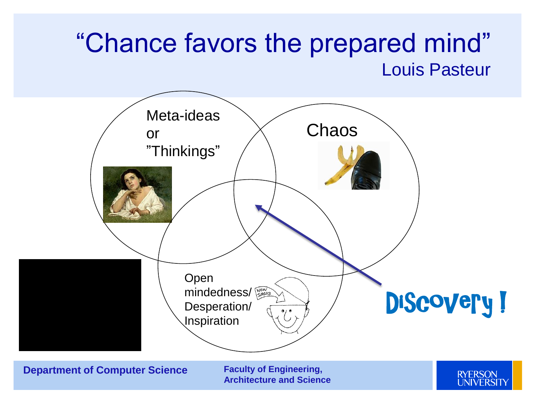#### "Chance favors the prepared mind" Louis Pasteur

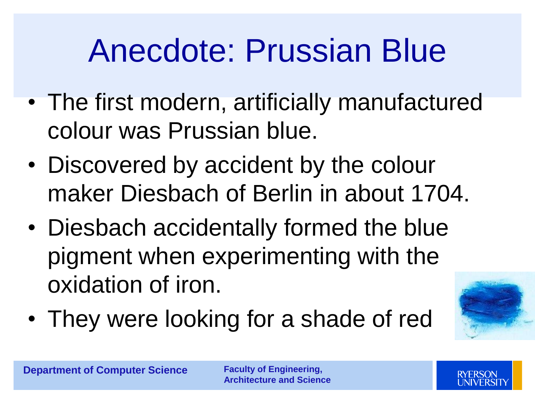#### Anecdote: Prussian Blue

- The first modern, artificially manufactured colour was Prussian blue.
- Discovered by accident by the colour maker Diesbach of Berlin in about 1704.
- Diesbach accidentally formed the blue pigment when experimenting with the oxidation of iron.
- They were looking for a shade of red



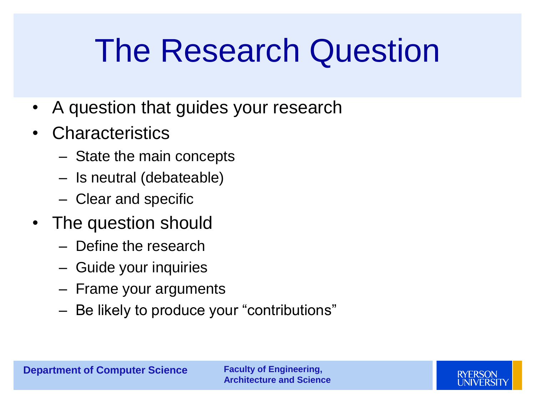#### The Research Question

- A question that guides your research
- Characteristics
	- State the main concepts
	- Is neutral (debateable)
	- Clear and specific
- The question should
	- Define the research
	- Guide your inquiries
	- Frame your arguments
	- Be likely to produce your "contributions"

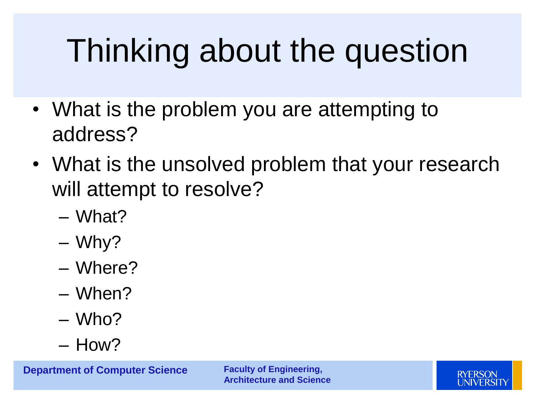# Thinking about the question

- What is the problem you are attempting to address?
- What is the unsolved problem that your research will attempt to resolve?
	- What?
	- Why?
	- Where?
	- When?
	- Who?
	- How?

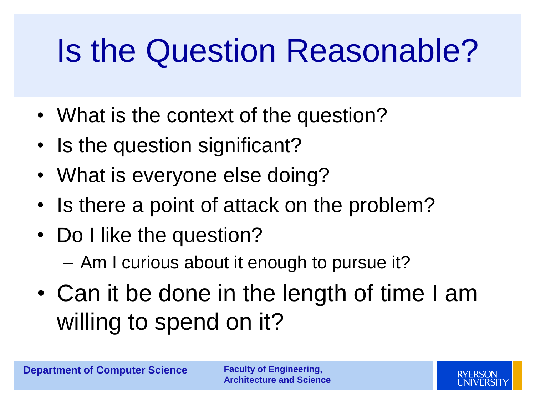### Is the Question Reasonable?

- What is the context of the question?
- Is the question significant?
- What is everyone else doing?
- Is there a point of attack on the problem?
- Do I like the question?
	- Am I curious about it enough to pursue it?
- Can it be done in the length of time I am willing to spend on it?

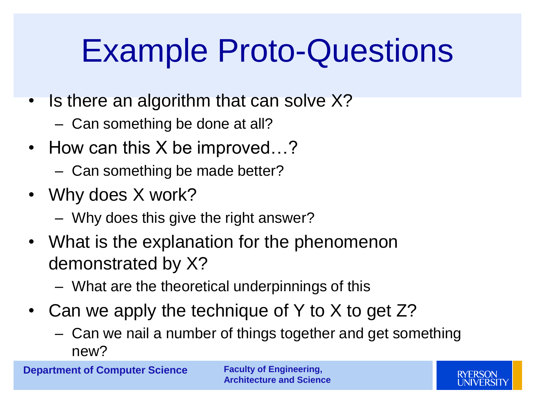#### Example Proto-Questions

- Is there an algorithm that can solve X?
	- Can something be done at all?
- How can this X be improved...?
	- Can something be made better?
- Why does X work?
	- Why does this give the right answer?
- What is the explanation for the phenomenon demonstrated by X?
	- What are the theoretical underpinnings of this
- Can we apply the technique of Y to X to get Z?
	- Can we nail a number of things together and get something new?

**Department of Computer Science Faculty of Engineering,** 

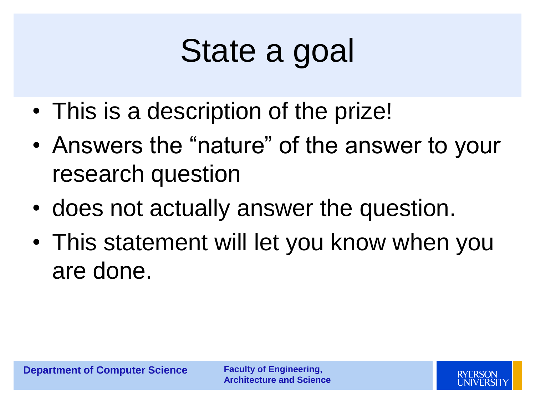## State a goal

- This is a description of the prize!
- Answers the "nature" of the answer to your research question
- does not actually answer the question.
- This statement will let you know when you are done.

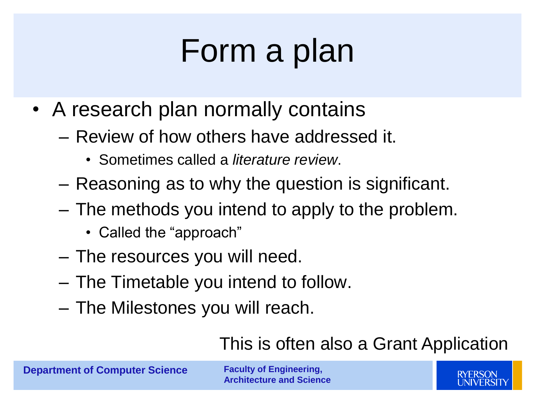#### Form a plan

- A research plan normally contains
	- Review of how others have addressed it.
		- Sometimes called a *literature review*.
	- Reasoning as to why the question is significant.
	- The methods you intend to apply to the problem.
		- Called the "approach"
	- The resources you will need.
	- The Timetable you intend to follow.
	- The Milestones you will reach.

#### This is often also a Grant Application

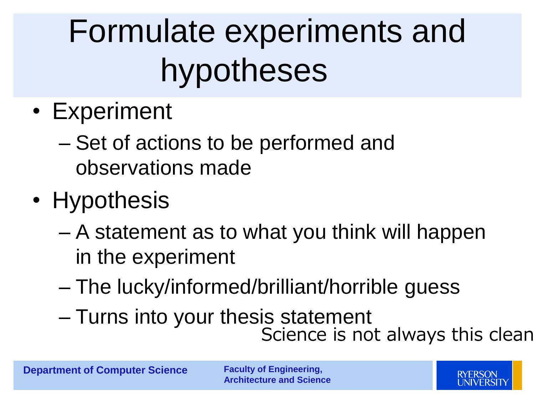# Formulate experiments and hypotheses

- Experiment
	- Set of actions to be performed and observations made
- Hypothesis
	- A statement as to what you think will happen in the experiment
	- The lucky/informed/brilliant/horrible guess
	- Turns into your thesis statement Science is not always this clean

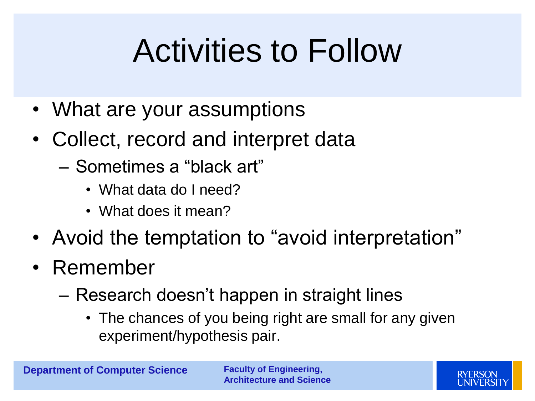#### Activities to Follow

- What are your assumptions
- Collect, record and interpret data
	- Sometimes a "black art"
		- What data do I need?
		- What does it mean?
- Avoid the temptation to "avoid interpretation"
- Remember
	- Research doesn't happen in straight lines
		- The chances of you being right are small for any given experiment/hypothesis pair.

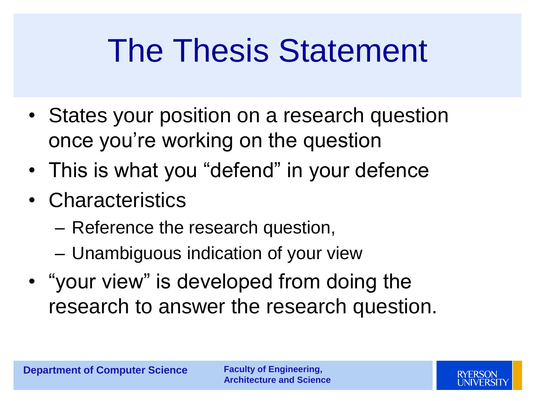#### The Thesis Statement

- States your position on a research question once you're working on the question
- This is what you "defend" in your defence
- Characteristics
	- Reference the research question,
	- Unambiguous indication of your view
- "your view" is developed from doing the research to answer the research question.

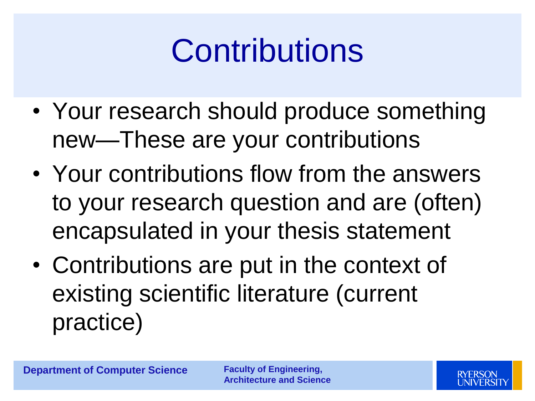#### **Contributions**

- Your research should produce something new—These are your contributions
- Your contributions flow from the answers to your research question and are (often) encapsulated in your thesis statement
- Contributions are put in the context of existing scientific literature (current practice)